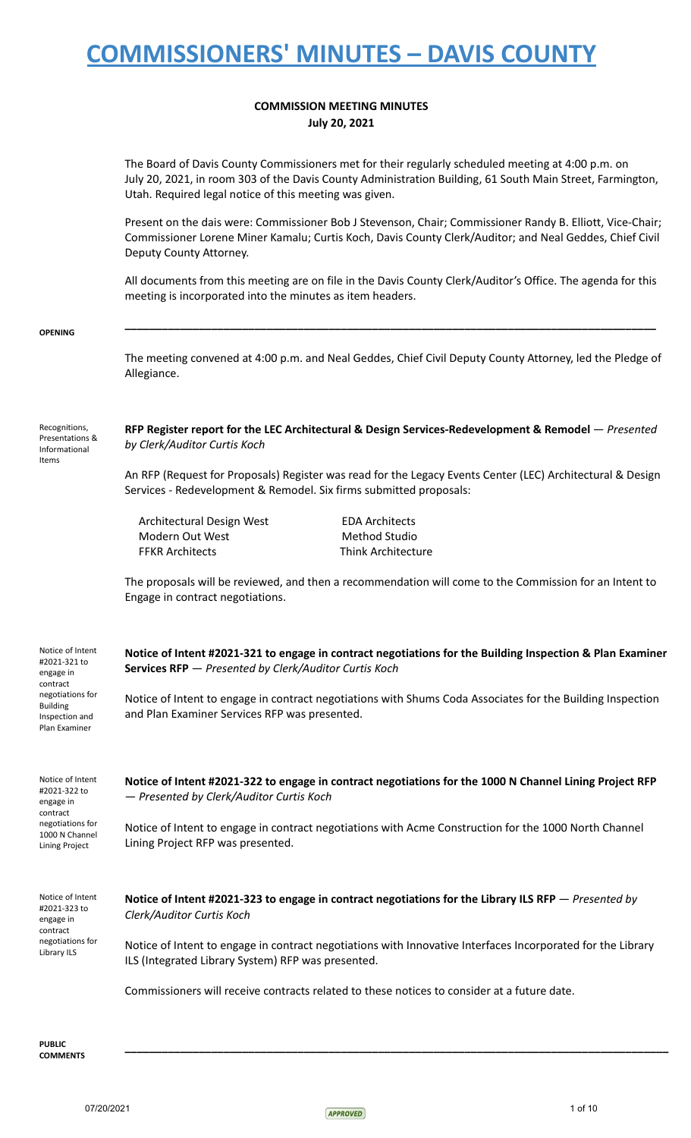#### **COMMISSION MEETING MINUTES July 20, 2021**

The Board of Davis County Commissioners met for their regularly scheduled meeting at 4:00 p.m. on July 20, 2021, in room 303 of the Davis County Administration Building, 61 South Main Street, Farmington, Utah. Required legal notice of this meeting was given.

Present on the dais were: Commissioner Bob J Stevenson, Chair; Commissioner Randy B. Elliott, Vice-Chair; Commissioner Lorene Miner Kamalu; Curtis Koch, Davis County Clerk/Auditor; and Neal Geddes, Chief Civil Deputy County Attorney.

All documents from this meeting are on file in the Davis County Clerk/Auditor's Office. The agenda for this meeting is incorporated into the minutes as item headers.

**\_\_\_\_\_\_\_\_\_\_\_\_\_\_\_\_\_\_\_\_\_\_\_\_\_\_\_\_\_\_\_\_\_\_\_\_\_\_\_\_\_\_\_\_\_\_\_\_\_\_\_\_\_\_\_\_\_\_\_\_\_\_\_\_\_\_\_\_\_\_\_\_\_\_\_\_\_\_\_\_\_\_\_\_\_\_**

**OPENING**

The meeting convened at 4:00 p.m. and Neal Geddes, Chief Civil Deputy County Attorney, led the Pledge of Allegiance.

Recognitions, Presentations & Informational Items

**RFP Register report for the LEC Architectural & Design Services-Redevelopment & Remodel** — *Presented by Clerk/Auditor Curtis Koch*

An RFP (Request for Proposals) Register was read for the Legacy Events Center (LEC) Architectural & Design Services - Redevelopment & Remodel. Six firms submitted proposals:

Architectural Design West EDA Architects Modern Out West Method Studio FFKR Architects Think Architecture

The proposals will be reviewed, and then a recommendation will come to the Commission for an Intent to Engage in contract negotiations.

| Notice of Intent<br>#2021-321 to<br>engage in<br>contract<br>negotiations for<br><b>Building</b><br>Inspection and<br>Plan Examiner | Notice of Intent #2021-321 to engage in contract negotiations for the Building Inspection & Plan Examiner<br>Services RFP - Presented by Clerk/Auditor Curtis Koch<br>Notice of Intent to engage in contract negotiations with Shums Coda Associates for the Building Inspection<br>and Plan Examiner Services RFP was presented. |
|-------------------------------------------------------------------------------------------------------------------------------------|-----------------------------------------------------------------------------------------------------------------------------------------------------------------------------------------------------------------------------------------------------------------------------------------------------------------------------------|
| Notice of Intent<br>#2021-322 to<br>engage in<br>contract<br>negotiations for<br>1000 N Channel<br>Lining Project                   | Notice of Intent #2021-322 to engage in contract negotiations for the 1000 N Channel Lining Project RFP<br>- Presented by Clerk/Auditor Curtis Koch<br>Notice of Intent to engage in contract negotiations with Acme Construction for the 1000 North Channel<br>Lining Project RFP was presented.                                 |
| Notice of Intent<br>#2021-323 to<br>engage in<br>contract<br>negotiations for<br>Library ILS                                        | Notice of Intent #2021-323 to engage in contract negotiations for the Library ILS RFP $-$ Presented by<br>Clerk/Auditor Curtis Koch<br>Notice of Intent to engage in contract negotiations with Innovative Interfaces Incorporated for the Library<br>ILS (Integrated Library System) RFP was presented.                          |

Commissioners will receive contracts related to these notices to consider at a future date.

**\_\_\_\_\_\_\_\_\_\_\_\_\_\_\_\_\_\_\_\_\_\_\_\_\_\_\_\_\_\_\_\_\_\_\_\_\_\_\_\_\_\_\_\_\_\_\_\_\_\_\_\_\_\_\_\_\_\_\_\_\_\_\_\_\_\_\_\_\_\_\_\_\_\_\_\_\_\_\_\_\_\_\_\_\_\_\_\_**

**PUBLIC COMMENTS**

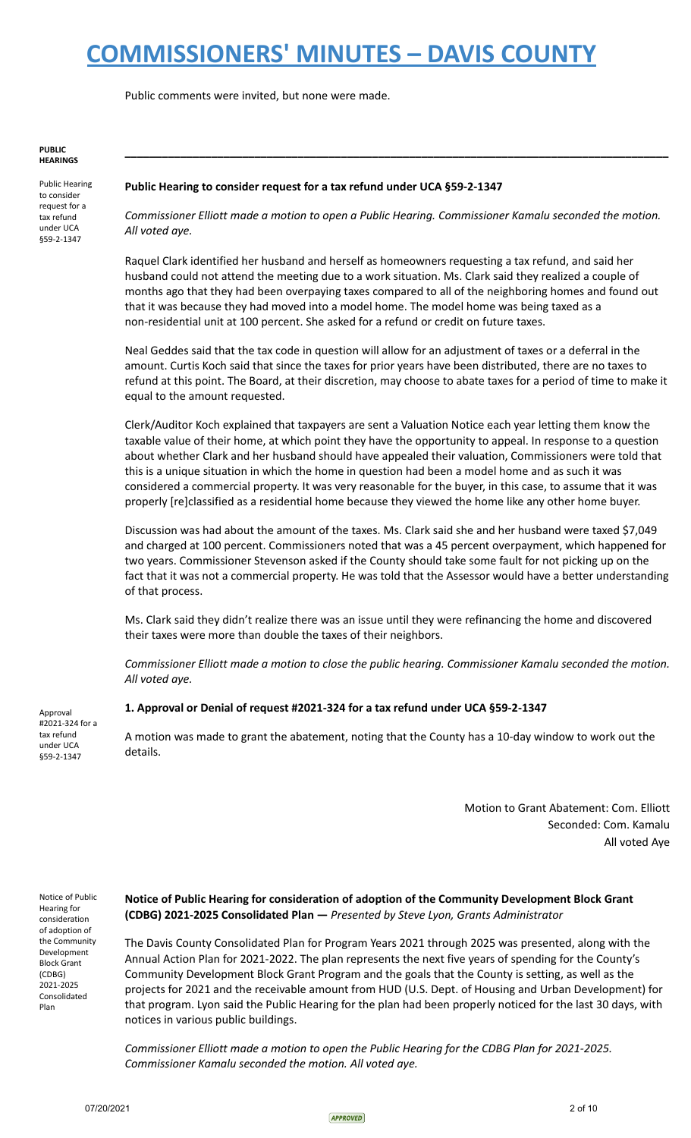Public comments were invited, but none were made.

#### **PUBLIC HEARINGS**

Public Hearing to consider request for a tax refund under UCA §59-2-1347

#### **Public Hearing to consider request for a tax refund under UCA §59-2-1347**

*Commissioner Elliott made a motion to open a Public Hearing. Commissioner Kamalu seconded the motion. All voted aye.*

**\_\_\_\_\_\_\_\_\_\_\_\_\_\_\_\_\_\_\_\_\_\_\_\_\_\_\_\_\_\_\_\_\_\_\_\_\_\_\_\_\_\_\_\_\_\_\_\_\_\_\_\_\_\_\_\_\_\_\_\_\_\_\_\_\_\_\_\_\_\_\_\_\_\_\_\_\_\_\_\_\_\_\_\_\_\_\_\_**

Raquel Clark identified her husband and herself as homeowners requesting a tax refund, and said her husband could not attend the meeting due to a work situation. Ms. Clark said they realized a couple of months ago that they had been overpaying taxes compared to all of the neighboring homes and found out that it was because they had moved into a model home. The model home was being taxed as a non-residential unit at 100 percent. She asked for a refund or credit on future taxes.

Neal Geddes said that the tax code in question will allow for an adjustment of taxes or a deferral in the amount. Curtis Koch said that since the taxes for prior years have been distributed, there are no taxes to refund at this point. The Board, at their discretion, may choose to abate taxes for a period of time to make it equal to the amount requested.

Clerk/Auditor Koch explained that taxpayers are sent a Valuation Notice each year letting them know the taxable value of their home, at which point they have the opportunity to appeal. In response to a question about whether Clark and her husband should have appealed their valuation, Commissioners were told that this is a unique situation in which the home in question had been a model home and as such it was considered a commercial property. It was very reasonable for the buyer, in this case, to assume that it was properly [re]classified as a residential home because they viewed the home like any other home buyer.

Discussion was had about the amount of the taxes. Ms. Clark said she and her husband were taxed \$7,049 and charged at 100 percent. Commissioners noted that was a 45 percent overpayment, which happened for two years. Commissioner Stevenson asked if the County should take some fault for not picking up on the fact that it was not a commercial property. He was told that the Assessor would have a better understanding of that process.

Ms. Clark said they didn't realize there was an issue until they were refinancing the home and discovered their taxes were more than double the taxes of their neighbors.

*Commissioner Elliott made a motion to close the public hearing. Commissioner Kamalu seconded the motion. All voted aye.*

#### **1. Approval or Denial of request #2021-324 for a tax refund under UCA §59-2-1347**

A motion was made to grant the abatement, noting that the County has a 10-day window to work out the details.

> Motion to Grant Abatement: Com. Elliott Seconded: Com. Kamalu All voted Aye

Notice of Public Hearing for consideration of adoption of the Community Development Block Grant (CDBG) 2021-2025 Consolidated Plan

Approval #2021-324 for a tax refund under UCA §59-2-1347

#### **Notice of Public Hearing for consideration of adoption of the Community Development Block Grant (CDBG) 2021-2025 Consolidated Plan —** *Presented by Steve Lyon, Grants Administrator*

The Davis County Consolidated Plan for Program Years 2021 through 2025 was presented, along with the Annual Action Plan for 2021-2022. The plan represents the next five years of spending for the County's Community Development Block Grant Program and the goals that the County is setting, as well as the projects for 2021 and the receivable amount from HUD (U.S. Dept. of Housing and Urban Development) for that program. Lyon said the Public Hearing for the plan had been properly noticed for the last 30 days, with notices in various public buildings.

*Commissioner Elliott made a motion to open the Public Hearing for the CDBG Plan for 2021-2025. Commissioner Kamalu seconded the motion. All voted aye.*

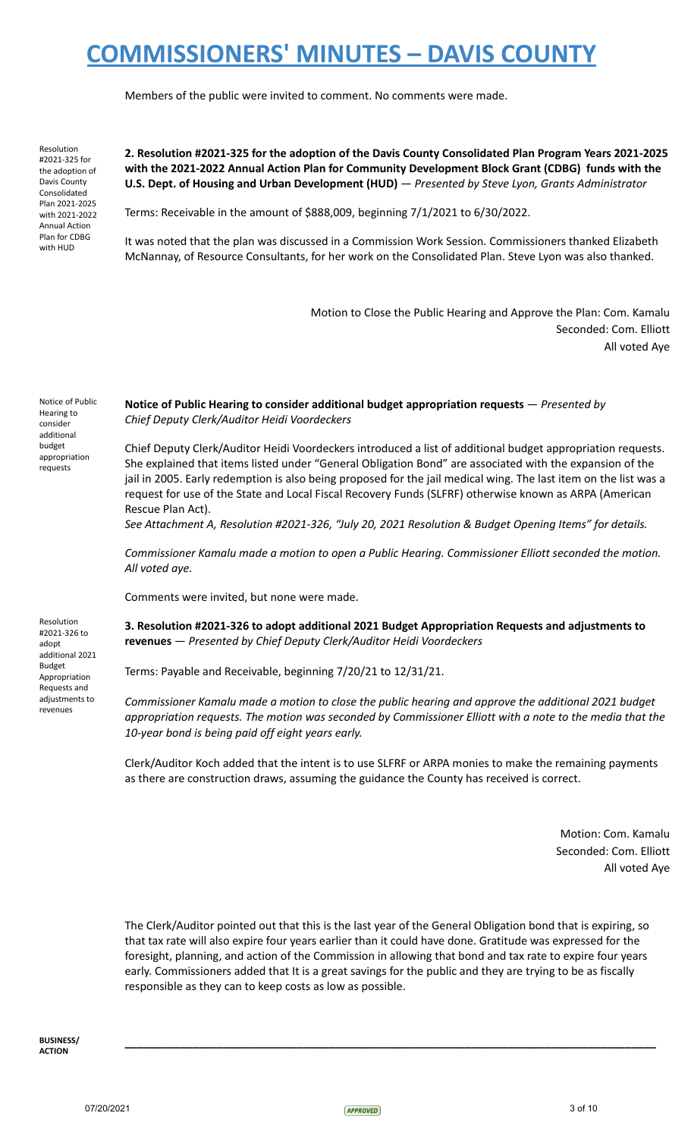Members of the public were invited to comment. No comments were made.

Resolution #2021-325 for the adoption of Davis County Consolidated Plan 2021-2025 with 2021-2022 Annual Action Plan for CDBG with HUD

**2. Resolution #2021-325 for the adoption of the Davis County Consolidated Plan Program Years 2021-2025 with the 2021-2022 Annual Action Plan for Community Development Block Grant (CDBG) funds with the U.S. Dept. of Housing and Urban Development (HUD)** — *Presented by Steve Lyon, Grants Administrator*

Terms: Receivable in the amount of \$888,009, beginning 7/1/2021 to 6/30/2022.

It was noted that the plan was discussed in a Commission Work Session. Commissioners thanked Elizabeth McNannay, of Resource Consultants, for her work on the Consolidated Plan. Steve Lyon was also thanked.

> Motion to Close the Public Hearing and Approve the Plan: Com. Kamalu Seconded: Com. Elliott All voted Aye

Notice of Public Hearing to consider additional budget appropriation requests

Resolution #2021-326 to adopt additional 2021 Budget Appropriation Requests and adiustments to revenues

**Notice of Public Hearing to consider additional budget appropriation requests** — *Presented by Chief Deputy Clerk/Auditor Heidi Voordeckers*

Chief Deputy Clerk/Auditor Heidi Voordeckers introduced a list of additional budget appropriation requests. She explained that items listed under "General Obligation Bond" are associated with the expansion of the jail in 2005. Early redemption is also being proposed for the jail medical wing. The last item on the list was a request for use of the State and Local Fiscal Recovery Funds (SLFRF) otherwise known as ARPA (American Rescue Plan Act).

*See Attachment A, Resolution #2021-326, "July 20, 2021 Resolution & Budget Opening Items" for details.*

*Commissioner Kamalu made a motion to open a Public Hearing. Commissioner Elliott seconded the motion. All voted aye.*

Comments were invited, but none were made.

**3. Resolution #2021-326 to adopt additional 2021 Budget Appropriation Requests and adjustments to revenues** — *Presented by Chief Deputy Clerk/Auditor Heidi Voordeckers*

Terms: Payable and Receivable, beginning 7/20/21 to 12/31/21.

*Commissioner Kamalu made a motion to close the public hearing and approve the additional 2021 budget appropriation requests. The motion was seconded by Commissioner Elliott with a note to the media that the 10-year bond is being paid off eight years early.*

Clerk/Auditor Koch added that the intent is to use SLFRF or ARPA monies to make the remaining payments as there are construction draws, assuming the guidance the County has received is correct.

> Motion: Com. Kamalu Seconded: Com. Elliott All voted Aye

The Clerk/Auditor pointed out that this is the last year of the General Obligation bond that is expiring, so that tax rate will also expire four years earlier than it could have done. Gratitude was expressed for the foresight, planning, and action of the Commission in allowing that bond and tax rate to expire four years early. Commissioners added that It is a great savings for the public and they are trying to be as fiscally responsible as they can to keep costs as low as possible.

**\_\_\_\_\_\_\_\_\_\_\_\_\_\_\_\_\_\_\_\_\_\_\_\_\_\_\_\_\_\_\_\_\_\_\_\_\_\_\_\_\_\_\_\_\_\_\_\_\_\_\_\_\_\_\_\_\_\_\_\_\_\_\_\_\_\_\_\_\_\_\_\_\_\_\_\_\_\_\_\_\_\_\_\_\_\_**

**BUSINESS/ ACTION**

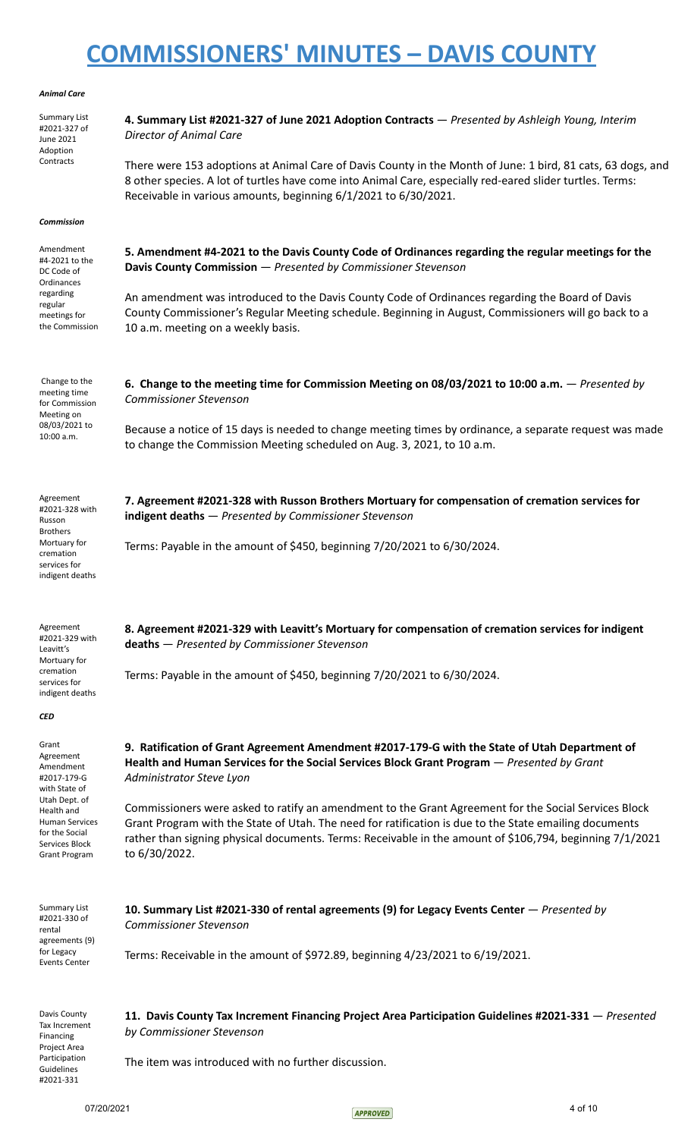#### *Animal Care*

| Anımaı Care                                                                                                                                                                         |                                                                                                                                                                                                                                                                                                                                             |
|-------------------------------------------------------------------------------------------------------------------------------------------------------------------------------------|---------------------------------------------------------------------------------------------------------------------------------------------------------------------------------------------------------------------------------------------------------------------------------------------------------------------------------------------|
| <b>Summary List</b><br>#2021-327 of<br>June 2021<br>Adoption                                                                                                                        | 4. Summary List #2021-327 of June 2021 Adoption Contracts - Presented by Ashleigh Young, Interim<br><b>Director of Animal Care</b>                                                                                                                                                                                                          |
| Contracts                                                                                                                                                                           | There were 153 adoptions at Animal Care of Davis County in the Month of June: 1 bird, 81 cats, 63 dogs, and<br>8 other species. A lot of turtles have come into Animal Care, especially red-eared slider turtles. Terms:<br>Receivable in various amounts, beginning 6/1/2021 to 6/30/2021.                                                 |
| <b>Commission</b>                                                                                                                                                                   |                                                                                                                                                                                                                                                                                                                                             |
| Amendment<br>#4-2021 to the<br>DC Code of<br>Ordinances<br>regarding<br>regular<br>meetings for<br>the Commission                                                                   | 5. Amendment #4-2021 to the Davis County Code of Ordinances regarding the regular meetings for the<br>Davis County Commission - Presented by Commissioner Stevenson                                                                                                                                                                         |
|                                                                                                                                                                                     | An amendment was introduced to the Davis County Code of Ordinances regarding the Board of Davis<br>County Commissioner's Regular Meeting schedule. Beginning in August, Commissioners will go back to a<br>10 a.m. meeting on a weekly basis.                                                                                               |
| Change to the<br>meeting time<br>for Commission<br>Meeting on                                                                                                                       | 6. Change to the meeting time for Commission Meeting on 08/03/2021 to 10:00 a.m. $-$ Presented by<br><b>Commissioner Stevenson</b>                                                                                                                                                                                                          |
| 08/03/2021 to<br>10:00 a.m.                                                                                                                                                         | Because a notice of 15 days is needed to change meeting times by ordinance, a separate request was made<br>to change the Commission Meeting scheduled on Aug. 3, 2021, to 10 a.m.                                                                                                                                                           |
| Agreement<br>#2021-328 with<br>Russon<br><b>Brothers</b><br>Mortuary for<br>cremation<br>services for<br>indigent deaths                                                            | 7. Agreement #2021-328 with Russon Brothers Mortuary for compensation of cremation services for<br>indigent deaths - Presented by Commissioner Stevenson                                                                                                                                                                                    |
|                                                                                                                                                                                     | Terms: Payable in the amount of \$450, beginning 7/20/2021 to 6/30/2024.                                                                                                                                                                                                                                                                    |
| Agreement<br>#2021-329 with<br>Leavitt's<br>Mortuary for                                                                                                                            | 8. Agreement #2021-329 with Leavitt's Mortuary for compensation of cremation services for indigent<br>deaths - Presented by Commissioner Stevenson                                                                                                                                                                                          |
| cremation<br>services for<br>indigent deaths                                                                                                                                        | Terms: Payable in the amount of \$450, beginning 7/20/2021 to 6/30/2024.                                                                                                                                                                                                                                                                    |
| <b>CED</b>                                                                                                                                                                          |                                                                                                                                                                                                                                                                                                                                             |
| Grant<br>Agreement<br>Amendment<br>#2017-179-G<br>with State of<br>Utah Dept. of<br>Health and<br><b>Human Services</b><br>for the Social<br>Services Block<br><b>Grant Program</b> | 9. Ratification of Grant Agreement Amendment #2017-179-G with the State of Utah Department of<br>Health and Human Services for the Social Services Block Grant Program - Presented by Grant<br>Administrator Steve Lyon                                                                                                                     |
|                                                                                                                                                                                     | Commissioners were asked to ratify an amendment to the Grant Agreement for the Social Services Block<br>Grant Program with the State of Utah. The need for ratification is due to the State emailing documents<br>rather than signing physical documents. Terms: Receivable in the amount of \$106,794, beginning 7/1/2021<br>to 6/30/2022. |
| <b>Summary List</b><br>#2021-330 of<br>rental                                                                                                                                       | 10. Summary List #2021-330 of rental agreements (9) for Legacy Events Center - Presented by<br><b>Commissioner Stevenson</b>                                                                                                                                                                                                                |
| agreements (9)<br>for Legacy<br><b>Events Center</b>                                                                                                                                | Terms: Receivable in the amount of \$972.89, beginning 4/23/2021 to 6/19/2021.                                                                                                                                                                                                                                                              |
| Davis County<br>Tax Increment<br>Financing<br>Project Area                                                                                                                          | 11. Davis County Tax Increment Financing Project Area Participation Guidelines #2021-331 - Presented<br>by Commissioner Stevenson                                                                                                                                                                                                           |
| Participation<br>Guidalings                                                                                                                                                         | The item was introduced with no further discussion.                                                                                                                                                                                                                                                                                         |

Guidelines #2021-331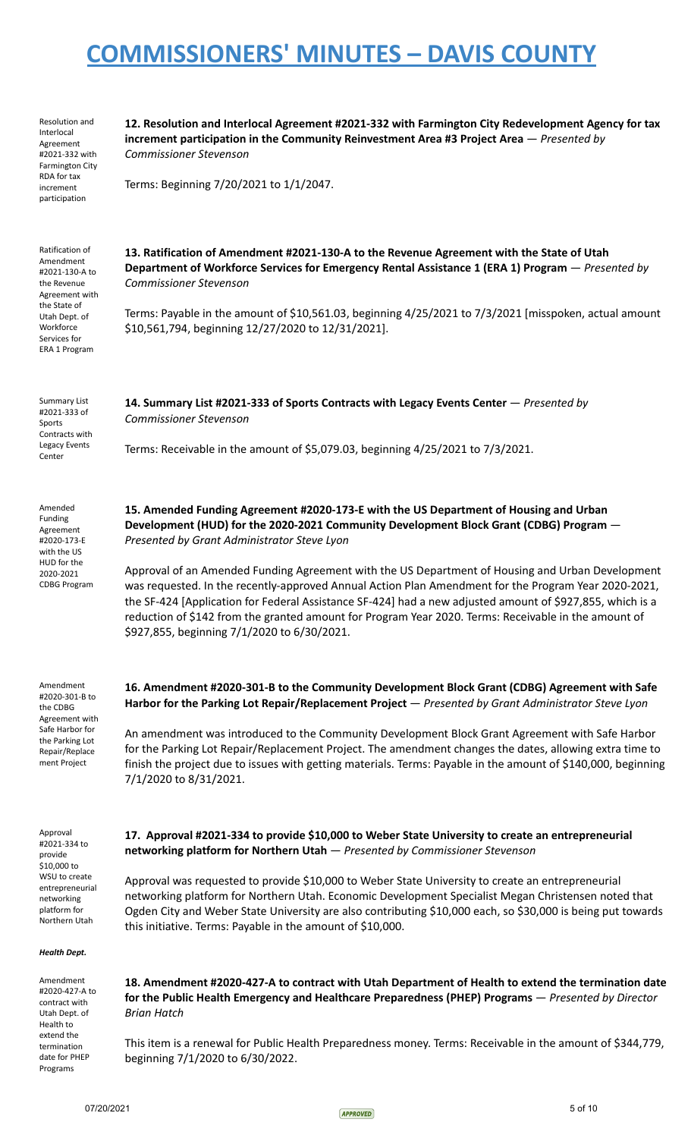| Resolution and<br>Interlocal<br>Agreement<br>#2021-332 with<br><b>Farmington City</b><br>RDA for tax<br>increment<br>participation                             | 12. Resolution and Interlocal Agreement #2021-332 with Farmington City Redevelopment Agency for tax<br>increment participation in the Community Reinvestment Area #3 Project Area $-$ Presented by<br><b>Commissioner Stevenson</b><br>Terms: Beginning 7/20/2021 to 1/1/2047.                                                                                                                                                                                                                                                                                                                                                                                                                                 |
|----------------------------------------------------------------------------------------------------------------------------------------------------------------|----------------------------------------------------------------------------------------------------------------------------------------------------------------------------------------------------------------------------------------------------------------------------------------------------------------------------------------------------------------------------------------------------------------------------------------------------------------------------------------------------------------------------------------------------------------------------------------------------------------------------------------------------------------------------------------------------------------|
| Ratification of<br>Amendment<br>#2021-130-A to<br>the Revenue<br>Agreement with<br>the State of<br>Utah Dept. of<br>Workforce<br>Services for<br>ERA 1 Program | 13. Ratification of Amendment #2021-130-A to the Revenue Agreement with the State of Utah<br>Department of Workforce Services for Emergency Rental Assistance 1 (ERA 1) Program - Presented by<br><b>Commissioner Stevenson</b><br>Terms: Payable in the amount of \$10,561.03, beginning 4/25/2021 to 7/3/2021 [misspoken, actual amount<br>\$10,561,794, beginning 12/27/2020 to 12/31/2021].                                                                                                                                                                                                                                                                                                                |
| <b>Summary List</b><br>#2021-333 of<br>Sports<br>Contracts with<br>Legacy Events<br>Center                                                                     | 14. Summary List #2021-333 of Sports Contracts with Legacy Events Center - Presented by<br><b>Commissioner Stevenson</b><br>Terms: Receivable in the amount of \$5,079.03, beginning 4/25/2021 to 7/3/2021.                                                                                                                                                                                                                                                                                                                                                                                                                                                                                                    |
| Amended<br>Funding<br>Agreement<br>#2020-173-E<br>with the US<br>HUD for the<br>2020-2021<br><b>CDBG Program</b>                                               | 15. Amended Funding Agreement #2020-173-E with the US Department of Housing and Urban<br>Development (HUD) for the 2020-2021 Community Development Block Grant (CDBG) Program -<br>Presented by Grant Administrator Steve Lyon<br>Approval of an Amended Funding Agreement with the US Department of Housing and Urban Development<br>was requested. In the recently-approved Annual Action Plan Amendment for the Program Year 2020-2021,<br>the SF-424 [Application for Federal Assistance SF-424] had a new adjusted amount of \$927,855, which is a<br>reduction of \$142 from the granted amount for Program Year 2020. Terms: Receivable in the amount of<br>\$927,855, beginning 7/1/2020 to 6/30/2021. |
| Amendment<br>#2020-301-B to<br>the CDBG<br>Agreement with<br>Safe Harbor for<br>the Parking Lot<br>Repair/Replace<br>ment Project                              | 16. Amendment #2020-301-B to the Community Development Block Grant (CDBG) Agreement with Safe<br>Harbor for the Parking Lot Repair/Replacement Project - Presented by Grant Administrator Steve Lyon<br>An amendment was introduced to the Community Development Block Grant Agreement with Safe Harbor<br>for the Parking Lot Repair/Replacement Project. The amendment changes the dates, allowing extra time to<br>finish the project due to issues with getting materials. Terms: Payable in the amount of \$140,000, beginning<br>7/1/2020 to 8/31/2021.                                                                                                                                                  |
| Approval<br>#2021-334 to<br>provide<br>\$10,000 to<br>WSU to create<br>entrepreneurial<br>networking<br>platform for<br>Northern Utah<br><b>Health Dept.</b>   | 17. Approval #2021-334 to provide \$10,000 to Weber State University to create an entrepreneurial<br>networking platform for Northern Utah - Presented by Commissioner Stevenson<br>Approval was requested to provide \$10,000 to Weber State University to create an entrepreneurial<br>networking platform for Northern Utah. Economic Development Specialist Megan Christensen noted that<br>Ogden City and Weber State University are also contributing \$10,000 each, so \$30,000 is being put towards<br>this initiative. Terms: Payable in the amount of \$10,000.                                                                                                                                      |
| Amendment                                                                                                                                                      | 18. Amendment #2020-427-A to contract with Utah Department of Health to extend the termination date                                                                                                                                                                                                                                                                                                                                                                                                                                                                                                                                                                                                            |
| #2020-427-A to<br>contract with<br>Utah Dept. of<br>Health to<br>extend the                                                                                    | for the Public Health Emergency and Healthcare Preparedness (PHEP) Programs - Presented by Director<br><b>Brian Hatch</b>                                                                                                                                                                                                                                                                                                                                                                                                                                                                                                                                                                                      |
| termination<br>date for PHEP<br>Programs                                                                                                                       | This item is a renewal for Public Health Preparedness money. Terms: Receivable in the amount of \$344,779,<br>beginning 7/1/2020 to 6/30/2022.                                                                                                                                                                                                                                                                                                                                                                                                                                                                                                                                                                 |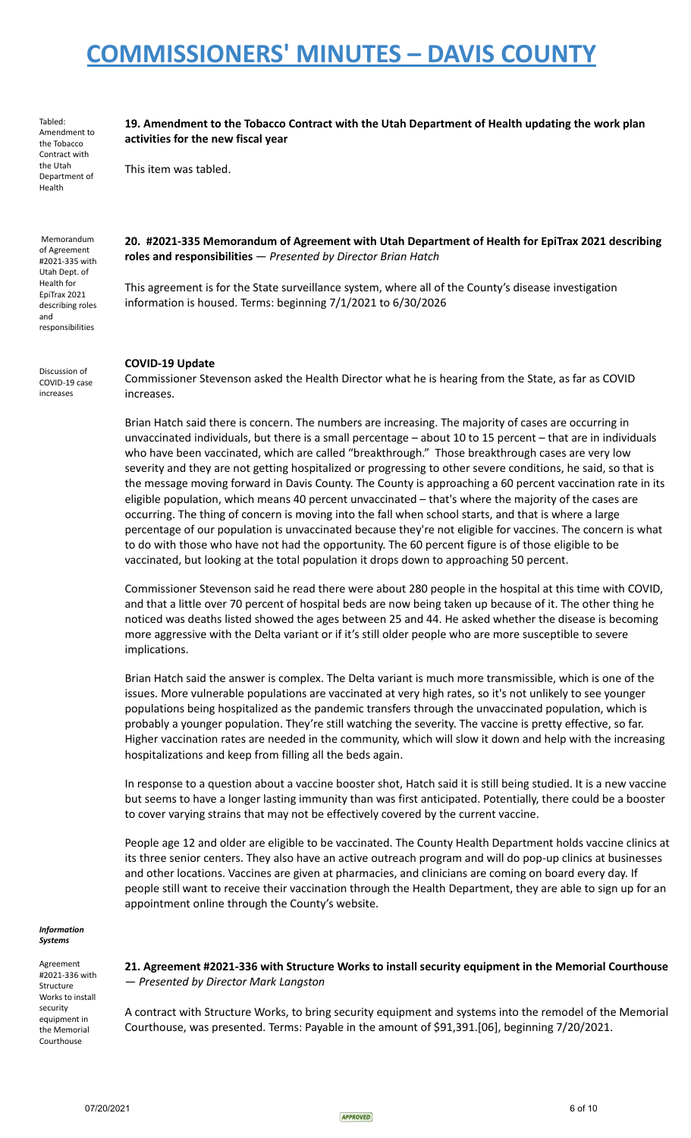Tabled: Amendment to the Tobacco Contract with the Utah Department of Health

**19. Amendment to the Tobacco Contract with the Utah Department of Health updating the work plan activities for the new fiscal year**

This item was tabled.

Memorandum of Agreement #2021-335 with Utah Dept. of Health for EpiTrax 2021 describing roles and responsibilities

**20. #2021-335 Memorandum of Agreement with Utah Department of Health for EpiTrax 2021 describing roles and responsibilities** — *Presented by Director Brian Hatch*

This agreement is for the State surveillance system, where all of the County's disease investigation information is housed. Terms: beginning 7/1/2021 to 6/30/2026

Discussion of COVID-19 case increases

#### **COVID-19 Update**

Commissioner Stevenson asked the Health Director what he is hearing from the State, as far as COVID increases.

Brian Hatch said there is concern. The numbers are increasing. The majority of cases are occurring in unvaccinated individuals, but there is a small percentage – about 10 to 15 percent – that are in individuals who have been vaccinated, which are called "breakthrough." Those breakthrough cases are very low severity and they are not getting hospitalized or progressing to other severe conditions, he said, so that is the message moving forward in Davis County. The County is approaching a 60 percent vaccination rate in its eligible population, which means 40 percent unvaccinated – that's where the majority of the cases are occurring. The thing of concern is moving into the fall when school starts, and that is where a large percentage of our population is unvaccinated because they're not eligible for vaccines. The concern is what to do with those who have not had the opportunity. The 60 percent figure is of those eligible to be vaccinated, but looking at the total population it drops down to approaching 50 percent.

Commissioner Stevenson said he read there were about 280 people in the hospital at this time with COVID, and that a little over 70 percent of hospital beds are now being taken up because of it. The other thing he noticed was deaths listed showed the ages between 25 and 44. He asked whether the disease is becoming more aggressive with the Delta variant or if it's still older people who are more susceptible to severe implications.

Brian Hatch said the answer is complex. The Delta variant is much more transmissible, which is one of the issues. More vulnerable populations are vaccinated at very high rates, so it's not unlikely to see younger populations being hospitalized as the pandemic transfers through the unvaccinated population, which is probably a younger population. They're still watching the severity. The vaccine is pretty effective, so far. Higher vaccination rates are needed in the community, which will slow it down and help with the increasing hospitalizations and keep from filling all the beds again.

In response to a question about a vaccine booster shot, Hatch said it is still being studied. It is a new vaccine but seems to have a longer lasting immunity than was first anticipated. Potentially, there could be a booster to cover varying strains that may not be effectively covered by the current vaccine.

People age 12 and older are eligible to be vaccinated. The County Health Department holds vaccine clinics at its three senior centers. They also have an active outreach program and will do pop-up clinics at businesses and other locations. Vaccines are given at pharmacies, and clinicians are coming on board every day. If people still want to receive their vaccination through the Health Department, they are able to sign up for an appointment online through the County's website.

*Information Systems*

Agreement #2021-336 with Structure Works to install security equipment in the Memorial Courthouse

**21. Agreement #2021-336 with Structure Works to install security equipment in the Memorial Courthouse** — *Presented by Director Mark Langston*

A contract with Structure Works, to bring security equipment and systems into the remodel of the Memorial Courthouse, was presented. Terms: Payable in the amount of \$91,391.[06], beginning 7/20/2021.

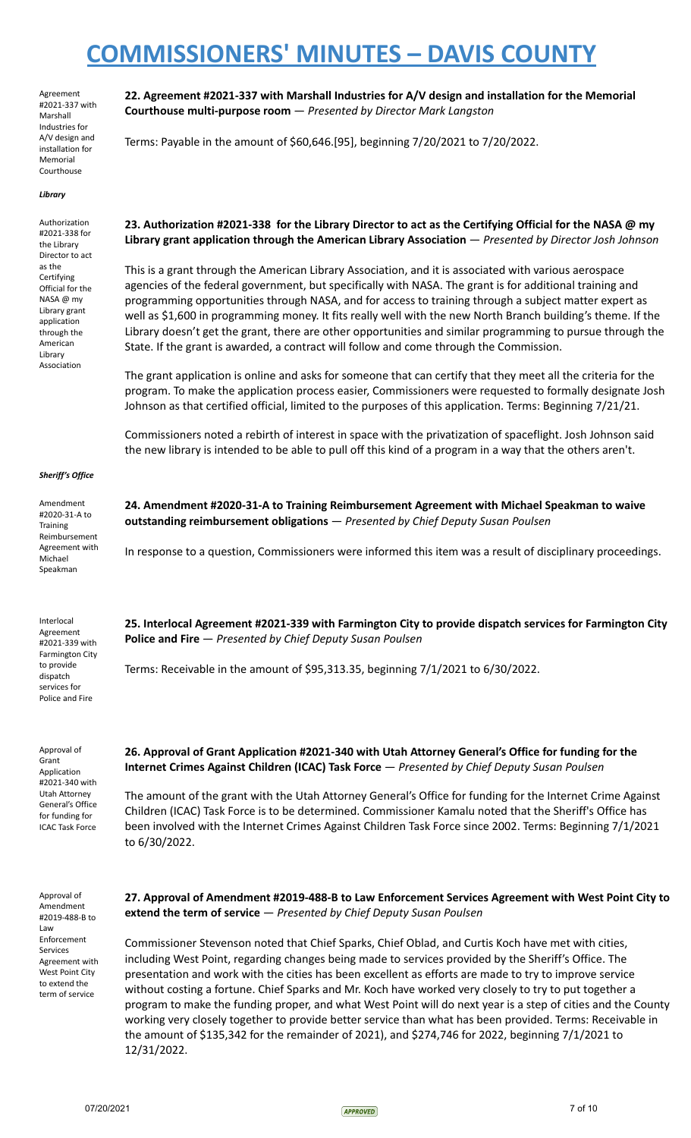**Courthouse multi-purpose room** — *Presented by Director Mark Langston*

Terms: Payable in the amount of \$60,646.[95], beginning 7/20/2021 to 7/20/2022.

Agreement #2021-337 with Marshall Industries for A/V design and installation for Memorial Courthouse

#### *Library*

Authorization #2021-338 for the Library Director to act as the Certifying Official for the NASA @ my Library grant application through the American Library Association

23. Authorization #2021-338 for the Library Director to act as the Certifying Official for the NASA @ my **Library grant application through the American Library Association** — *Presented by Director Josh Johnson*

**22. Agreement #2021-337 with Marshall Industries for A/V design and installation for the Memorial**

This is a grant through the American Library Association, and it is associated with various aerospace agencies of the federal government, but specifically with NASA. The grant is for additional training and programming opportunities through NASA, and for access to training through a subject matter expert as well as \$1,600 in programming money. It fits really well with the new North Branch building's theme. If the Library doesn't get the grant, there are other opportunities and similar programming to pursue through the State. If the grant is awarded, a contract will follow and come through the Commission.

The grant application is online and asks for someone that can certify that they meet all the criteria for the program. To make the application process easier, Commissioners were requested to formally designate Josh Johnson as that certified official, limited to the purposes of this application. Terms: Beginning 7/21/21.

Commissioners noted a rebirth of interest in space with the privatization of spaceflight. Josh Johnson said the new library is intended to be able to pull off this kind of a program in a way that the others aren't.

**24. Amendment #2020-31-A to Training Reimbursement Agreement with Michael Speakman to waive**

#### *Sheriff's Office*

Amendment #2020-31-A to **Training** Reimbursement Agreement with Michael Speakman

Interlocal Agreement #2021-339 with Farmington City to provide dispatch services for Police and Fire

Approval of Grant Application #2021-340 with Utah Attorney General's Office for funding for ICAC Task Force

**25. Interlocal Agreement #2021-339 with Farmington City to provide dispatch services for Farmington City Police and Fire** — *Presented by Chief Deputy Susan Poulsen*

In response to a question, Commissioners were informed this item was a result of disciplinary proceedings.

Terms: Receivable in the amount of \$95,313.35, beginning 7/1/2021 to 6/30/2022.

**outstanding reimbursement obligations** — *Presented by Chief Deputy Susan Poulsen*

**26. Approval of Grant Application #2021-340 with Utah Attorney General's Office for funding for the Internet Crimes Against Children (ICAC) Task Force** — *Presented by Chief Deputy Susan Poulsen*

The amount of the grant with the Utah Attorney General's Office for funding for the Internet Crime Against Children (ICAC) Task Force is to be determined. Commissioner Kamalu noted that the Sheriff's Office has been involved with the Internet Crimes Against Children Task Force since 2002. Terms: Beginning 7/1/2021 to 6/30/2022.

Approval of Amendment #2019-488-B to Law Enforcement Services Agreement with West Point City to extend the term of service

**27. Approval of Amendment #2019-488-B to Law Enforcement Services Agreement with West Point City to extend the term of service** — *Presented by Chief Deputy Susan Poulsen*

Commissioner Stevenson noted that Chief Sparks, Chief Oblad, and Curtis Koch have met with cities, including West Point, regarding changes being made to services provided by the Sheriff's Office. The presentation and work with the cities has been excellent as efforts are made to try to improve service without costing a fortune. Chief Sparks and Mr. Koch have worked very closely to try to put together a program to make the funding proper, and what West Point will do next year is a step of cities and the County working very closely together to provide better service than what has been provided. Terms: Receivable in the amount of \$135,342 for the remainder of 2021), and \$274,746 for 2022, beginning 7/1/2021 to 12/31/2022.

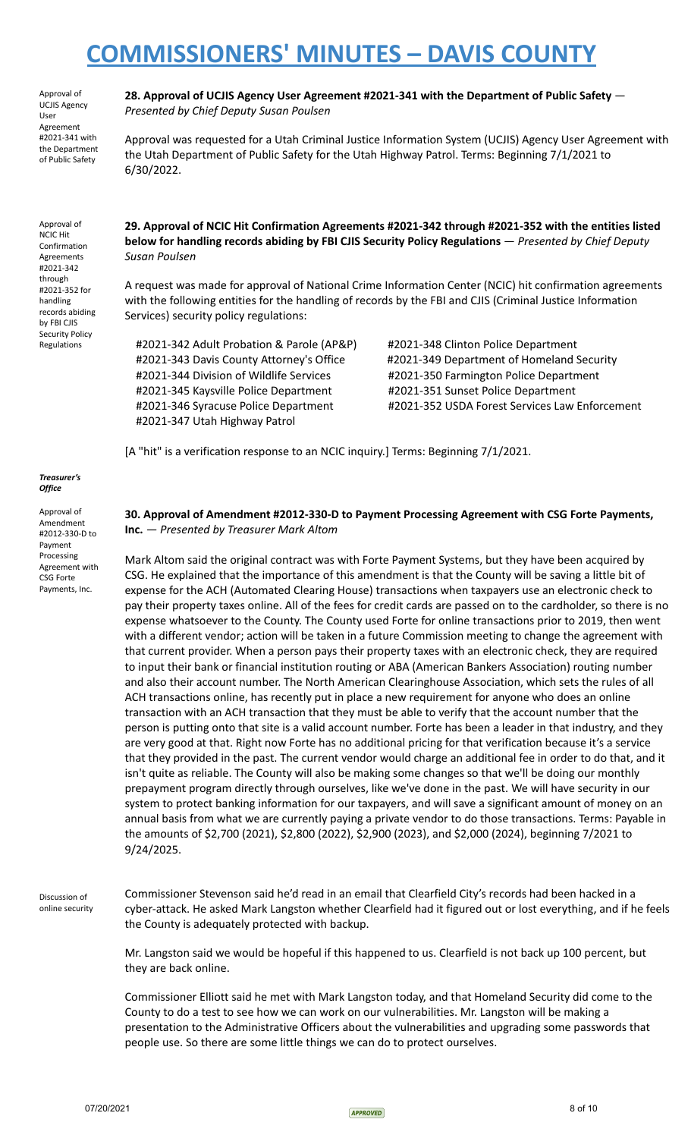Approval of UCJIS Agency User Agreement #2021-341 with the Department of Public Safety

Approval of NCIC Hit Confirmation Agreements #2021-342 through #2021-352 for handling records abiding by FBI CJIS Security Policy Regulations

**28. Approval of UCJIS Agency User Agreement #2021-341 with the Department of Public Safety** — *Presented by Chief Deputy Susan Poulsen*

Approval was requested for a Utah Criminal Justice Information System (UCJIS) Agency User Agreement with the Utah Department of Public Safety for the Utah Highway Patrol. Terms: Beginning 7/1/2021 to 6/30/2022.

**29. Approval of NCIC Hit Confirmation Agreements #2021-342 through #2021-352 with the entities listed below for handling records abiding by FBI CJIS Security Policy Regulations** — *Presented by Chief Deputy Susan Poulsen*

A request was made for approval of National Crime Information Center (NCIC) hit confirmation agreements with the following entities for the handling of records by the FBI and CJIS (Criminal Justice Information Services) security policy regulations:

#2021-342 Adult Probation & Parole (AP&P) #2021-348 Clinton Police Department #2021-344 Division of Wildlife Services #2021-350 Farmington Police Department #2021-345 Kaysville Police Department #2021-351 Sunset Police Department #2021-347 Utah Highway Patrol

#2021-343 Davis County Attorney's Office #2021-349 Department of Homeland Security #2021-346 Syracuse Police Department #2021-352 USDA Forest Services Law Enforcement

[A "hit" is a verification response to an NCIC inquiry.] Terms: Beginning 7/1/2021.

*Treasurer's Office*

Approval of Amendment #2012-330-D to Payment Processing Agreement with CSG Forte Payments, Inc.

#### **30. Approval of Amendment #2012-330-D to Payment Processing Agreement with CSG Forte Payments, Inc.** *— Presented by Treasurer Mark Altom*

Mark Altom said the original contract was with Forte Payment Systems, but they have been acquired by CSG. He explained that the importance of this amendment is that the County will be saving a little bit of expense for the ACH (Automated Clearing House) transactions when taxpayers use an electronic check to pay their property taxes online. All of the fees for credit cards are passed on to the cardholder, so there is no expense whatsoever to the County. The County used Forte for online transactions prior to 2019, then went with a different vendor; action will be taken in a future Commission meeting to change the agreement with that current provider. When a person pays their property taxes with an electronic check, they are required to input their bank or financial institution routing or ABA (American Bankers Association) routing number and also their account number. The North American Clearinghouse Association, which sets the rules of all ACH transactions online, has recently put in place a new requirement for anyone who does an online transaction with an ACH transaction that they must be able to verify that the account number that the person is putting onto that site is a valid account number. Forte has been a leader in that industry, and they are very good at that. Right now Forte has no additional pricing for that verification because it's a service that they provided in the past. The current vendor would charge an additional fee in order to do that, and it isn't quite as reliable. The County will also be making some changes so that we'll be doing our monthly prepayment program directly through ourselves, like we've done in the past. We will have security in our system to protect banking information for our taxpayers, and will save a significant amount of money on an annual basis from what we are currently paying a private vendor to do those transactions. Terms: Payable in the amounts of \$2,700 (2021), \$2,800 (2022), \$2,900 (2023), and \$2,000 (2024), beginning 7/2021 to 9/24/2025.

Discussion of online security Commissioner Stevenson said he'd read in an email that Clearfield City's records had been hacked in a cyber-attack. He asked Mark Langston whether Clearfield had it figured out or lost everything, and if he feels the County is adequately protected with backup.

Mr. Langston said we would be hopeful if this happened to us. Clearfield is not back up 100 percent, but they are back online.

Commissioner Elliott said he met with Mark Langston today, and that Homeland Security did come to the County to do a test to see how we can work on our vulnerabilities. Mr. Langston will be making a presentation to the Administrative Officers about the vulnerabilities and upgrading some passwords that people use. So there are some little things we can do to protect ourselves.

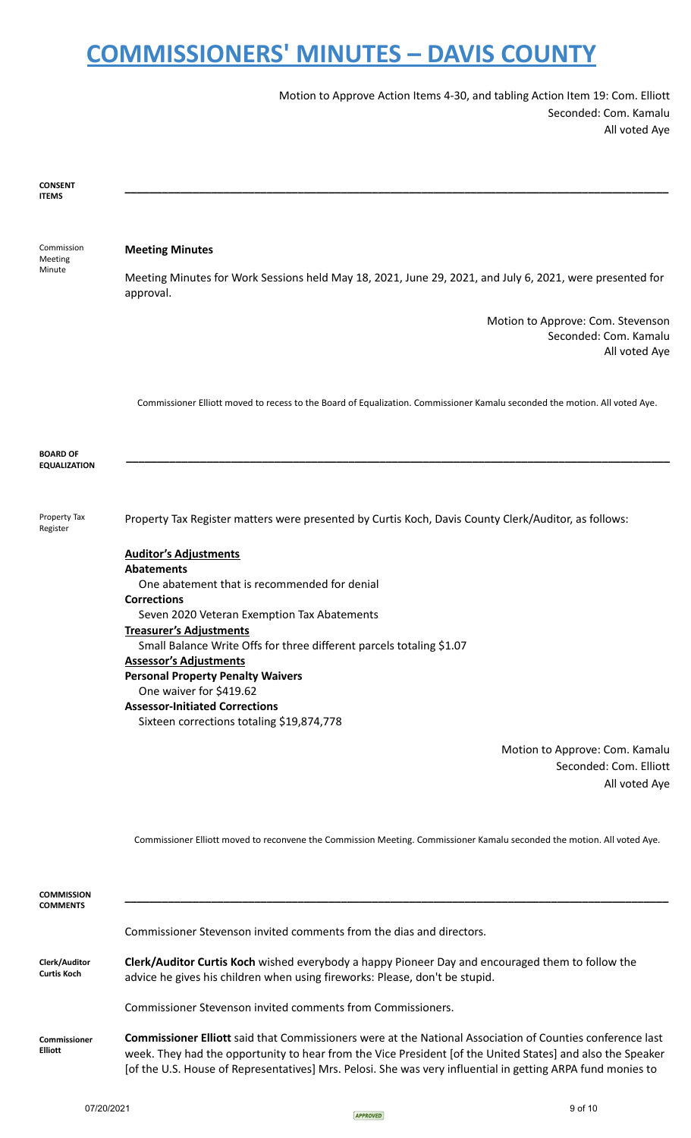Motion to Approve Action Items 4-30, and tabling Action Item 19: Com. Elliott Seconded: Com. Kamalu All voted Aye

| <b>CONSENT</b><br><b>ITEMS</b>         |                                                                                                                                                                                                                                                                                                                                                                                                                                                                                |
|----------------------------------------|--------------------------------------------------------------------------------------------------------------------------------------------------------------------------------------------------------------------------------------------------------------------------------------------------------------------------------------------------------------------------------------------------------------------------------------------------------------------------------|
|                                        |                                                                                                                                                                                                                                                                                                                                                                                                                                                                                |
| Commission<br>Meeting<br>Minute        | <b>Meeting Minutes</b><br>Meeting Minutes for Work Sessions held May 18, 2021, June 29, 2021, and July 6, 2021, were presented for                                                                                                                                                                                                                                                                                                                                             |
|                                        | approval.<br>Motion to Approve: Com. Stevenson<br>Seconded: Com. Kamalu<br>All voted Aye                                                                                                                                                                                                                                                                                                                                                                                       |
|                                        | Commissioner Elliott moved to recess to the Board of Equalization. Commissioner Kamalu seconded the motion. All voted Aye.                                                                                                                                                                                                                                                                                                                                                     |
| <b>BOARD OF</b><br><b>EQUALIZATION</b> |                                                                                                                                                                                                                                                                                                                                                                                                                                                                                |
| Property Tax<br>Register               | Property Tax Register matters were presented by Curtis Koch, Davis County Clerk/Auditor, as follows:                                                                                                                                                                                                                                                                                                                                                                           |
|                                        | <b>Auditor's Adjustments</b><br><b>Abatements</b><br>One abatement that is recommended for denial<br><b>Corrections</b><br>Seven 2020 Veteran Exemption Tax Abatements<br><b>Treasurer's Adjustments</b><br>Small Balance Write Offs for three different parcels totaling \$1.07<br><b>Assessor's Adjustments</b><br><b>Personal Property Penalty Waivers</b><br>One waiver for \$419.62<br><b>Assessor-Initiated Corrections</b><br>Sixteen corrections totaling \$19,874,778 |
|                                        | Motion to Approve: Com. Kamalu<br>Seconded: Com. Elliott<br>All voted Aye                                                                                                                                                                                                                                                                                                                                                                                                      |
|                                        | Commissioner Elliott moved to reconvene the Commission Meeting. Commissioner Kamalu seconded the motion. All voted Aye.                                                                                                                                                                                                                                                                                                                                                        |
| <b>COMMISSION</b><br><b>COMMENTS</b>   |                                                                                                                                                                                                                                                                                                                                                                                                                                                                                |
|                                        | Commissioner Stevenson invited comments from the dias and directors.                                                                                                                                                                                                                                                                                                                                                                                                           |
| Clerk/Auditor<br><b>Curtis Koch</b>    | Clerk/Auditor Curtis Koch wished everybody a happy Pioneer Day and encouraged them to follow the<br>advice he gives his children when using fireworks: Please, don't be stupid.                                                                                                                                                                                                                                                                                                |

Commissioner Stevenson invited comments from Commissioners.

**Commissioner Elliott Commissioner Elliott** said that Commissioners were at the National Association of Counties conference last week. They had the opportunity to hear from the Vice President [of the United States] and also the Speaker [of the U.S. House of Representatives] Mrs. Pelosi. She was very influential in getting ARPA fund monies to